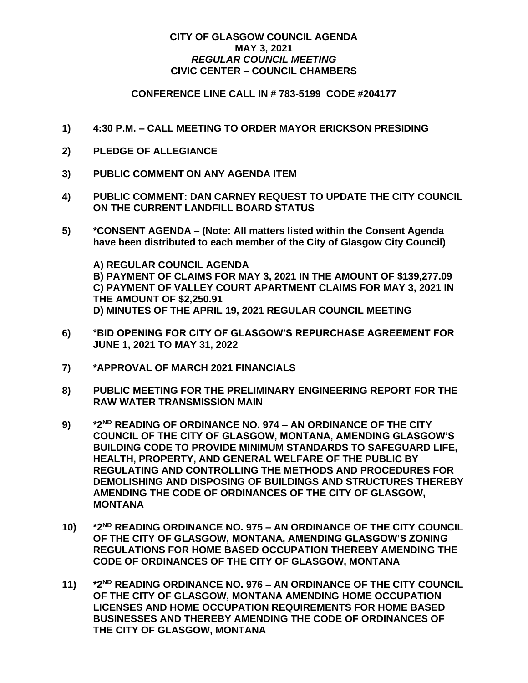## **CITY OF GLASGOW COUNCIL AGENDA MAY 3, 2021** *REGULAR COUNCIL MEETING* **CIVIC CENTER – COUNCIL CHAMBERS**

## **CONFERENCE LINE CALL IN # 783-5199 CODE #204177**

- **1) 4:30 P.M. – CALL MEETING TO ORDER MAYOR ERICKSON PRESIDING**
- **2) PLEDGE OF ALLEGIANCE**
- **3) PUBLIC COMMENT ON ANY AGENDA ITEM**
- **4) PUBLIC COMMENT: DAN CARNEY REQUEST TO UPDATE THE CITY COUNCIL ON THE CURRENT LANDFILL BOARD STATUS**
- **5) \*CONSENT AGENDA – (Note: All matters listed within the Consent Agenda have been distributed to each member of the City of Glasgow City Council)**

**A) REGULAR COUNCIL AGENDA B) PAYMENT OF CLAIMS FOR MAY 3, 2021 IN THE AMOUNT OF \$139,277.09 C) PAYMENT OF VALLEY COURT APARTMENT CLAIMS FOR MAY 3, 2021 IN THE AMOUNT OF \$2,250.91 D) MINUTES OF THE APRIL 19, 2021 REGULAR COUNCIL MEETING**

- **6) \*BID OPENING FOR CITY OF GLASGOW'S REPURCHASE AGREEMENT FOR JUNE 1, 2021 TO MAY 31, 2022**
- **7) \*APPROVAL OF MARCH 2021 FINANCIALS**
- **8) PUBLIC MEETING FOR THE PRELIMINARY ENGINEERING REPORT FOR THE RAW WATER TRANSMISSION MAIN**
- **9) \*2ND READING OF ORDINANCE NO. 974 – AN ORDINANCE OF THE CITY COUNCIL OF THE CITY OF GLASGOW, MONTANA, AMENDING GLASGOW'S BUILDING CODE TO PROVIDE MINIMUM STANDARDS TO SAFEGUARD LIFE, HEALTH, PROPERTY, AND GENERAL WELFARE OF THE PUBLIC BY REGULATING AND CONTROLLING THE METHODS AND PROCEDURES FOR DEMOLISHING AND DISPOSING OF BUILDINGS AND STRUCTURES THEREBY AMENDING THE CODE OF ORDINANCES OF THE CITY OF GLASGOW, MONTANA**
- **10) \*2ND READING ORDINANCE NO. 975 – AN ORDINANCE OF THE CITY COUNCIL OF THE CITY OF GLASGOW, MONTANA, AMENDING GLASGOW'S ZONING REGULATIONS FOR HOME BASED OCCUPATION THEREBY AMENDING THE CODE OF ORDINANCES OF THE CITY OF GLASGOW, MONTANA**
- **11) \*2 ND READING ORDINANCE NO. 976 – AN ORDINANCE OF THE CITY COUNCIL OF THE CITY OF GLASGOW, MONTANA AMENDING HOME OCCUPATION LICENSES AND HOME OCCUPATION REQUIREMENTS FOR HOME BASED BUSINESSES AND THEREBY AMENDING THE CODE OF ORDINANCES OF THE CITY OF GLASGOW, MONTANA**